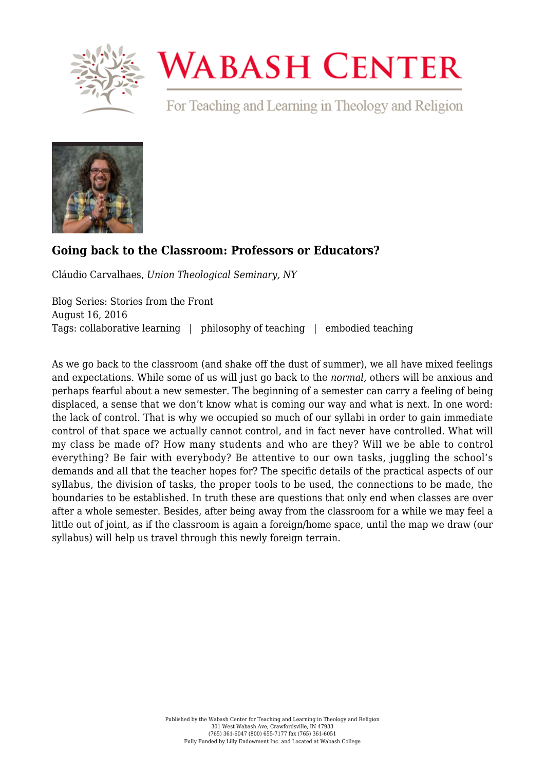

## **WABASH CENTER**

For Teaching and Learning in Theology and Religion



## **[Going back to the Classroom: Professors or Educators?](https://www.wabashcenter.wabash.edu/2016/08/going-back-to-the-classroom-professors-or-educators/)**

Cláudio Carvalhaes, *Union Theological Seminary, NY*

Blog Series: Stories from the Front August 16, 2016 Tags: collaborative learning | philosophy of teaching | embodied teaching

As we go back to the classroom (and shake off the dust of summer), we all have mixed feelings and expectations. While some of us will just go back to the *normal,* others will be anxious and perhaps fearful about a new semester. The beginning of a semester can carry a feeling of being displaced, a sense that we don't know what is coming our way and what is next. In one word: the lack of control. That is why we occupied so much of our syllabi in order to gain immediate control of that space we actually cannot control, and in fact never have controlled. What will my class be made of? How many students and who are they? Will we be able to control everything? Be fair with everybody? Be attentive to our own tasks, juggling the school's demands and all that the teacher hopes for? The specific details of the practical aspects of our syllabus, the division of tasks, the proper tools to be used, the connections to be made, the boundaries to be established. In truth these are questions that only end when classes are over after a whole semester. Besides, after being away from the classroom for a while we may feel a little out of joint, as if the classroom is again a foreign/home space, until the map we draw (our syllabus) will help us travel through this newly foreign terrain.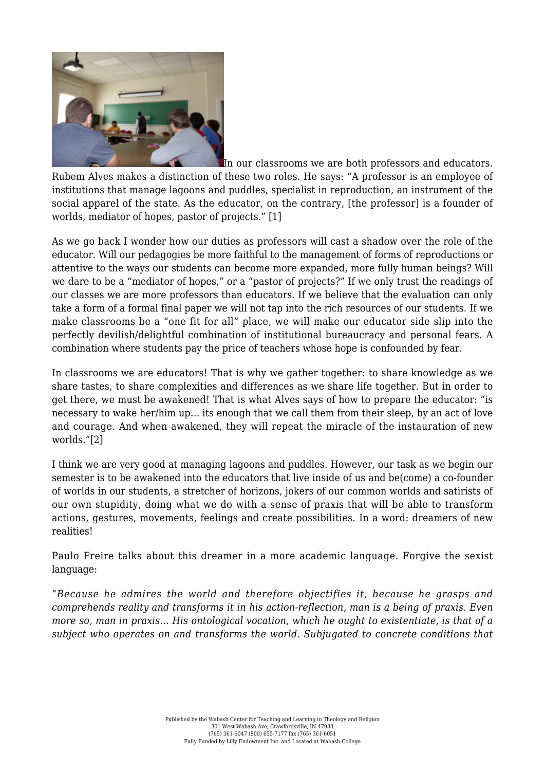

In our classrooms we are both professors and educators. Rubem Alves makes a distinction of these two roles. He says: "A professor is an employee of institutions that manage lagoons and puddles, specialist in reproduction, an instrument of the social apparel of the state. As the educator, on the contrary, [the professor] is a founder of worlds, mediator of hopes, pastor of projects." [\[1\]](https://www.wabashcenter.wabash.edu/2016/08/going-back-to-the-classroom-professors-or-educators/#_ftn1)

As we go back I wonder how our duties as professors will cast a shadow over the role of the educator. Will our pedagogies be more faithful to the management of forms of reproductions or attentive to the ways our students can become more expanded, more fully human beings? Will we dare to be a "mediator of hopes," or a "pastor of projects?" If we only trust the readings of our classes we are more professors than educators. If we believe that the evaluation can only take a form of a formal final paper we will not tap into the rich resources of our students. If we make classrooms be a "one fit for all" place, we will make our educator side slip into the perfectly devilish/delightful combination of institutional bureaucracy and personal fears. A combination where students pay the price of teachers whose hope is confounded by fear.

In classrooms we are educators! That is why we gather together: to share knowledge as we share tastes, to share complexities and differences as we share life together. But in order to get there, we must be awakened! That is what Alves says of how to prepare the educator: "is necessary to wake her/him up… its enough that we call them from their sleep, by an act of love and courage. And when awakened, they will repeat the miracle of the instauration of new worlds."[\[2\]](https://www.wabashcenter.wabash.edu/2016/08/going-back-to-the-classroom-professors-or-educators/#_ftn2)

I think we are very good at managing lagoons and puddles. However, our task as we begin our semester is to be awakened into the educators that live inside of us and be(come) a co-founder of worlds in our students, a stretcher of horizons, jokers of our common worlds and satirists of our own stupidity, doing what we do with a sense of praxis that will be able to transform actions, gestures, movements, feelings and create possibilities. In a word: dreamers of new realities!

Paulo Freire talks about this dreamer in a more academic language. Forgive the sexist language:

*"Because he admires the world and therefore objectifies it, because he grasps and comprehends reality and transforms it in his action-reflection, man is a being of praxis. Even more so, man in praxis… His ontological vocation, which he ought to existentiate, is that of a subject who operates on and transforms the world. Subjugated to concrete conditions that*